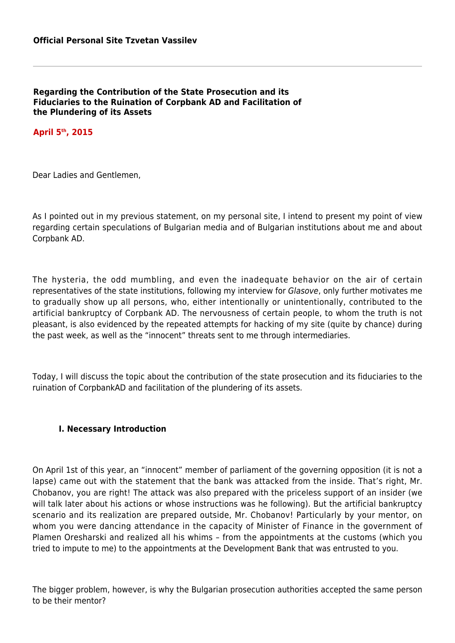**Regarding the Contribution of the State Prosecution and its Fiduciaries to the Ruination of Corpbank AD and Facilitation of the Plundering of its Assets**

**April 5th, 2015**

Dear Ladies and Gentlemen,

As I pointed out in my previous statement, on my personal site, I intend to present my point of view regarding certain speculations of Bulgarian media and of Bulgarian institutions about me and about Corpbank AD.

The hysteria, the odd mumbling, and even the inadequate behavior on the air of certain representatives of the state institutions, following my interview for Glasove, only further motivates me to gradually show up all persons, who, either intentionally or unintentionally, contributed to the artificial bankruptcy of Corpbank AD. The nervousness of certain people, to whom the truth is not pleasant, is also evidenced by the repeated attempts for hacking of my site (quite by chance) during the past week, as well as the "innocent" threats sent to me through intermediaries.

Today, I will discuss the topic about the contribution of the state prosecution and its fiduciaries to the ruination of CorpbankAD and facilitation of the plundering of its assets.

#### **I. Necessary Introduction**

On April 1st of this year, an "innocent" member of parliament of the governing opposition (it is not a lapse) came out with the statement that the bank was attacked from the inside. That's right, Mr. Chobanov, you are right! The attack was also prepared with the priceless support of an insider (we will talk later about his actions or whose instructions was he following). But the artificial bankruptcy scenario and its realization are prepared outside, Mr. Chobanov! Particularly by your mentor, on whom you were dancing attendance in the capacity of Minister of Finance in the government of Plamen Oresharski and realized all his whims – from the appointments at the customs (which you tried to impute to me) to the appointments at the Development Bank that was entrusted to you.

The bigger problem, however, is why the Bulgarian prosecution authorities accepted the same person to be their mentor?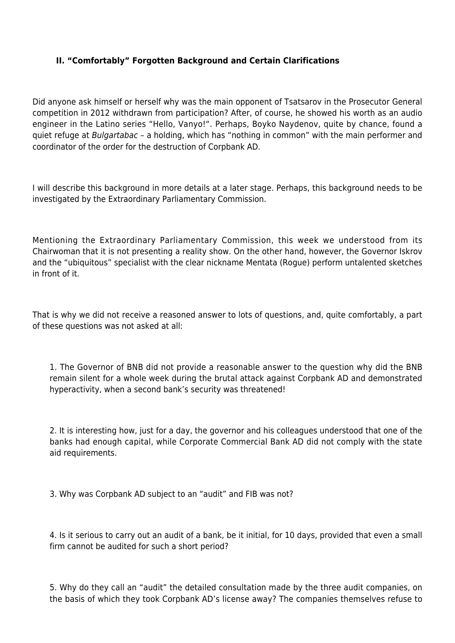## **II. "Comfortably" Forgotten Background and Certain Clarifications**

Did anyone ask himself or herself why was the main opponent of Tsatsarov in the Prosecutor General competition in 2012 withdrawn from participation? After, of course, he showed his worth as an audio engineer in the Latino series "Hello, Vanyo!". Perhaps, Boyko Naydenov, quite by chance, found a quiet refuge at Bulgartabac – a holding, which has "nothing in common" with the main performer and coordinator of the order for the destruction of Corpbank AD.

I will describe this background in more details at a later stage. Perhaps, this background needs to be investigated by the Extraordinary Parliamentary Commission.

Mentioning the Extraordinary Parliamentary Commission, this week we understood from its Chairwoman that it is not presenting a reality show. On the other hand, however, the Governor Iskrov and the "ubiquitous" specialist with the clear nickname Mentata (Rogue) perform untalented sketches in front of it.

That is why we did not receive a reasoned answer to lots of questions, and, quite comfortably, a part of these questions was not asked at all:

1. The Governor of BNB did not provide a reasonable answer to the question why did the BNB remain silent for a whole week during the brutal attack against Corpbank AD and demonstrated hyperactivity, when a second bank's security was threatened!

2. It is interesting how, just for a day, the governor and his colleagues understood that one of the banks had enough capital, while Corporate Commercial Bank AD did not comply with the state aid requirements.

3. Why was Corpbank AD subject to an "audit" and FIB was not?

4. Is it serious to carry out an audit of a bank, be it initial, for 10 days, provided that even a small firm cannot be audited for such a short period?

5. Why do they call an "audit" the detailed consultation made by the three audit companies, on the basis of which they took Corpbank AD's license away? The companies themselves refuse to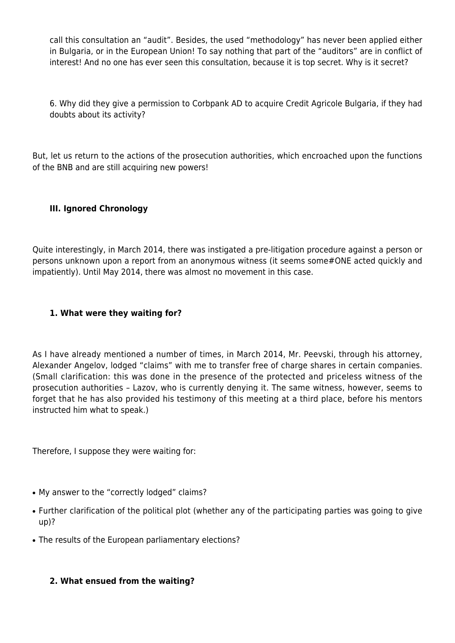call this consultation an "audit". Besides, the used "methodology" has never been applied either in Bulgaria, or in the European Union! To say nothing that part of the "auditors" are in conflict of interest! And no one has ever seen this consultation, because it is top secret. Why is it secret?

6. Why did they give a permission to Corbpank AD to acquire Credit Agricole Bulgaria, if they had doubts about its activity?

But, let us return to the actions of the prosecution authorities, which encroached upon the functions of the BNB and are still acquiring new powers!

## **III. Ignored Chronology**

Quite interestingly, in March 2014, there was instigated a pre-litigation procedure against a person or persons unknown upon a report from an anonymous witness (it seems some#ONE acted quickly and impatiently). Until May 2014, there was almost no movement in this case.

## **1. What were they waiting for?**

As I have already mentioned a number of times, in March 2014, Mr. Peevski, through his attorney, Alexander Angelov, lodged "claims" with me to transfer free of charge shares in certain companies. (Small clarification: this was done in the presence of the protected and priceless witness of the prosecution authorities – Lazov, who is currently denying it. The same witness, however, seems to forget that he has also provided his testimony of this meeting at a third place, before his mentors instructed him what to speak.)

Therefore, I suppose they were waiting for:

- My answer to the "correctly lodged" claims?
- Further clarification of the political plot (whether any of the participating parties was going to give up)?
- The results of the European parliamentary elections?

# **2. What ensued from the waiting?**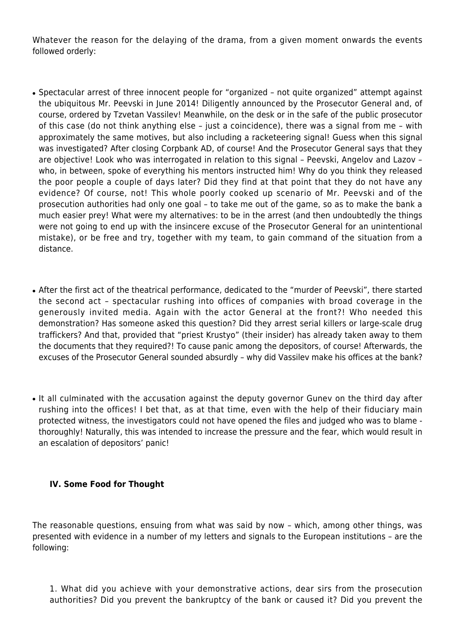Whatever the reason for the delaying of the drama, from a given moment onwards the events followed orderly:

- Spectacular arrest of three innocent people for "organized not quite organized" attempt against the ubiquitous Mr. Peevski in June 2014! Diligently announced by the Prosecutor General and, of course, ordered by Tzvetan Vassilev! Meanwhile, on the desk or in the safe of the public prosecutor of this case (do not think anything else – just a coincidence), there was a signal from me – with approximately the same motives, but also including a racketeering signal! Guess when this signal was investigated? After closing Corpbank AD, of course! And the Prosecutor General says that they are objective! Look who was interrogated in relation to this signal – Peevski, Angelov and Lazov – who, in between, spoke of everything his mentors instructed him! Why do you think they released the poor people a couple of days later? Did they find at that point that they do not have any evidence? Of course, not! This whole poorly cooked up scenario of Mr. Peevski and of the prosecution authorities had only one goal – to take me out of the game, so as to make the bank a much easier prey! What were my alternatives: to be in the arrest (and then undoubtedly the things were not going to end up with the insincere excuse of the Prosecutor General for an unintentional mistake), or be free and try, together with my team, to gain command of the situation from a distance.
- After the first act of the theatrical performance, dedicated to the "murder of Peevski", there started the second act – spectacular rushing into offices of companies with broad coverage in the generously invited media. Again with the actor General at the front?! Who needed this demonstration? Has someone asked this question? Did they arrest serial killers or large-scale drug traffickers? And that, provided that "priest Krustyo" (their insider) has already taken away to them the documents that they required?! To cause panic among the depositors, of course! Afterwards, the excuses of the Prosecutor General sounded absurdly – why did Vassilev make his offices at the bank?
- It all culminated with the accusation against the deputy governor Guney on the third day after rushing into the offices! I bet that, as at that time, even with the help of their fiduciary main protected witness, the investigators could not have opened the files and judged who was to blame thoroughly! Naturally, this was intended to increase the pressure and the fear, which would result in an escalation of depositors' panic!

#### **IV. Some Food for Thought**

The reasonable questions, ensuing from what was said by now – which, among other things, was presented with evidence in a number of my letters and signals to the European institutions – are the following:

1. What did you achieve with your demonstrative actions, dear sirs from the prosecution authorities? Did you prevent the bankruptcy of the bank or caused it? Did you prevent the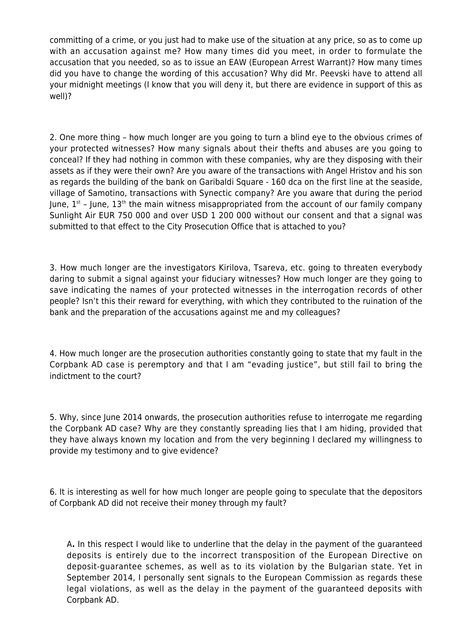committing of a crime, or you just had to make use of the situation at any price, so as to come up with an accusation against me? How many times did you meet, in order to formulate the accusation that you needed, so as to issue an EAW (European Arrest Warrant)? How many times did you have to change the wording of this accusation? Why did Mr. Peevski have to attend all your midnight meetings (I know that you will deny it, but there are evidence in support of this as well)?

2. One more thing – how much longer are you going to turn a blind eye to the obvious crimes of your protected witnesses? How many signals about their thefts and abuses are you going to conceal? If they had nothing in common with these companies, why are they disposing with their assets as if they were their own? Are you aware of the transactions with Angel Hristov and his son as regards the building of the bank on Garibaldi Square - 160 dca on the first line at the seaside, village of Samotino, transactions with Synectic company? Are you aware that during the period June,  $1^{st}$  – June,  $13^{th}$  the main witness misappropriated from the account of our family company Sunlight Air EUR 750 000 and over USD 1 200 000 without our consent and that a signal was submitted to that effect to the City Prosecution Office that is attached to you?

3. How much longer are the investigators Kirilova, Tsareva, etc. going to threaten everybody daring to submit a signal against your fiduciary witnesses? How much longer are they going to save indicating the names of your protected witnesses in the interrogation records of other people? Isn't this their reward for everything, with which they contributed to the ruination of the bank and the preparation of the accusations against me and my colleagues?

4. How much longer are the prosecution authorities constantly going to state that my fault in the Corpbank AD case is peremptory and that I am "evading justice", but still fail to bring the indictment to the court?

5. Why, since June 2014 onwards, the prosecution authorities refuse to interrogate me regarding the Corpbank AD case? Why are they constantly spreading lies that I am hiding, provided that they have always known my location and from the very beginning I declared my willingness to provide my testimony and to give evidence?

6. It is interesting as well for how much longer are people going to speculate that the depositors of Corpbank AD did not receive their money through my fault?

A**.** In this respect I would like to underline that the delay in the payment of the guaranteed deposits is entirely due to the incorrect transposition of the European Directive on deposit-guarantee schemes, as well as to its violation by the Bulgarian state. Yet in September 2014, I personally sent signals to the European Commission as regards these legal violations, as well as the delay in the payment of the guaranteed deposits with Corpbank AD.